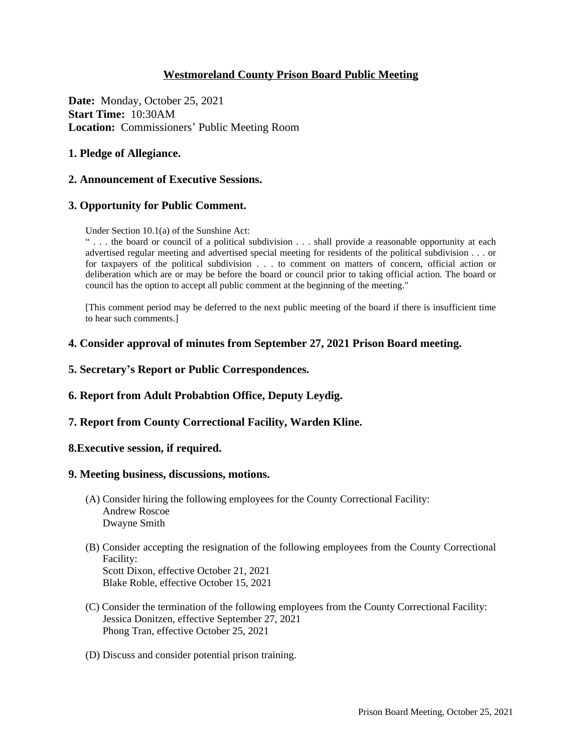# **Westmoreland County Prison Board Public Meeting**

**Date:** Monday, October 25, 2021 **Start Time:** 10:30AM **Location:** Commissioners' Public Meeting Room

## **1. Pledge of Allegiance.**

### **2. Announcement of Executive Sessions.**

### **3. Opportunity for Public Comment.**

Under Section 10.1(a) of the Sunshine Act:

" . . . the board or council of a political subdivision . . . shall provide a reasonable opportunity at each advertised regular meeting and advertised special meeting for residents of the political subdivision . . . or for taxpayers of the political subdivision . . . to comment on matters of concern, official action or deliberation which are or may be before the board or council prior to taking official action. The board or council has the option to accept all public comment at the beginning of the meeting."

[This comment period may be deferred to the next public meeting of the board if there is insufficient time to hear such comments.]

### **4. Consider approval of minutes from September 27, 2021 Prison Board meeting.**

- **5. Secretary's Report or Public Correspondences.**
- **6. Report from Adult Probabtion Office, Deputy Leydig.**
- **7. Report from County Correctional Facility, Warden Kline.**

#### **8.Executive session, if required.**

#### **9. Meeting business, discussions, motions.**

- (A) Consider hiring the following employees for the County Correctional Facility: Andrew Roscoe Dwayne Smith
- (B) Consider accepting the resignation of the following employees from the County Correctional Facility: Scott Dixon, effective October 21, 2021

Blake Roble, effective October 15, 2021

- (C) Consider the termination of the following employees from the County Correctional Facility: Jessica Donitzen, effective September 27, 2021 Phong Tran, effective October 25, 2021
- (D) Discuss and consider potential prison training.